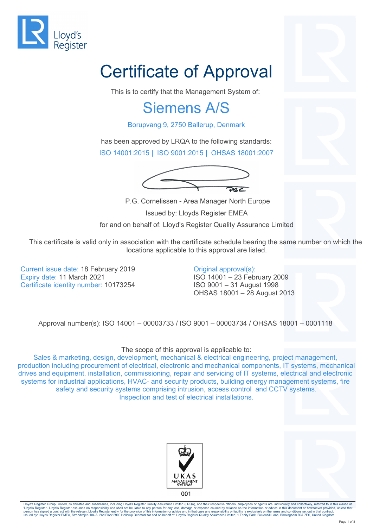

# Certificate of Approval

This is to certify that the Management System of:

#### Siemens A/S

Borupvang 9, 2750 Ballerup, Denmark

has been approved by LRQA to the following standards: ISO 14001:2015 **|** ISO 9001:2015 **|** OHSAS 18001:2007



P.G. Cornelissen - Area Manager North Europe

Issued by: Lloyds Register EMEA

for and on behalf of: Lloyd's Register Quality Assurance Limited

This certificate is valid only in association with the certificate schedule bearing the same number on which the locations applicable to this approval are listed.

Current issue date: 18 February 2019 Expiry date: 11 March 2021 Certificate identity number: 10173254

Original approval(s): ISO 14001 – 23 February 2009 ISO 9001 – 31 August 1998 OHSAS 18001 – 28 August 2013

Approval number(s): ISO 14001 – 00003733 / ISO 9001 – 00003734 / OHSAS 18001 – 0001118

The scope of this approval is applicable to:

Sales & marketing, design, development, mechanical & electrical engineering, project management, production including procurement of electrical, electronic and mechanical components, IT systems, mechanical drives and equipment, installation, commissioning, repair and servicing of IT systems, electrical and electronic systems for industrial applications, HVAC- and security products, building energy management systems, fire safety and security systems comprising intrusion, access control and CCTV systems. Inspection and test of electrical installations.



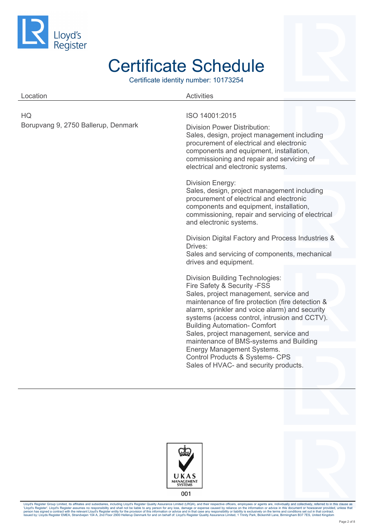

Certificate identity number: 10173254

| Location                                  | <b>Activities</b>                                                                                                                                                                                                                                                                                                                                                                                                                                                                                                        |
|-------------------------------------------|--------------------------------------------------------------------------------------------------------------------------------------------------------------------------------------------------------------------------------------------------------------------------------------------------------------------------------------------------------------------------------------------------------------------------------------------------------------------------------------------------------------------------|
| HQ<br>Borupvang 9, 2750 Ballerup, Denmark | ISO 14001:2015<br><b>Division Power Distribution:</b><br>Sales, design, project management including<br>procurement of electrical and electronic<br>components and equipment, installation,<br>commissioning and repair and servicing of<br>electrical and electronic systems.                                                                                                                                                                                                                                           |
|                                           | <b>Division Energy:</b><br>Sales, design, project management including<br>procurement of electrical and electronic<br>components and equipment, installation,<br>commissioning, repair and servicing of electrical<br>and electronic systems.<br>Division Digital Factory and Process Industries &<br>Drives:<br>Sales and servicing of components, mechanical<br>drives and equipment.                                                                                                                                  |
|                                           | <b>Division Building Technologies:</b><br>Fire Safety & Security - FSS<br>Sales, project management, service and<br>maintenance of fire protection (fire detection &<br>alarm, sprinkler and voice alarm) and security<br>systems (access control, intrusion and CCTV).<br><b>Building Automation- Comfort</b><br>Sales, project management, service and<br>maintenance of BMS-systems and Building<br>Energy Management Systems.<br><b>Control Products &amp; Systems- CPS</b><br>Sales of HVAC- and security products. |



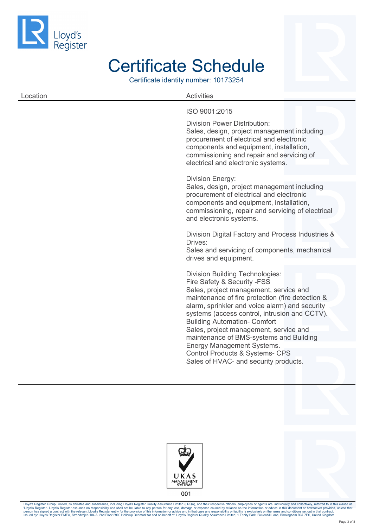

Certificate identity number: 10173254

| Location | <b>Activities</b>                                                                                                                                                  |
|----------|--------------------------------------------------------------------------------------------------------------------------------------------------------------------|
|          | ISO 9001:2015                                                                                                                                                      |
|          | Division Power Distribution:<br>Sales, design, project management including<br>procurement of electrical and electronic<br>components and equipment, installation, |

Sales, design, project management including procurement of electrical and electronic components and equipment, installation, commissioning, repair and servicing of electrical and electronic systems. Division Digital Factory and Process Industries & Drives: Sales and servicing of components, mechanical drives and equipment. Division Building Technologies: Fire Safety & Security -FSS Sales, project management, service and maintenance of fire protection (fire detection & alarm, sprinkler and voice alarm) and security systems (access control, intrusion and CCTV). Building Automation- Comfort

commissioning and repair and servicing of

electrical and electronic systems.

Division Energy:

Sales, project management, service and maintenance of BMS-systems and Building Energy Management Systems. Control Products & Systems- CPS Sales of HVAC- and security products.



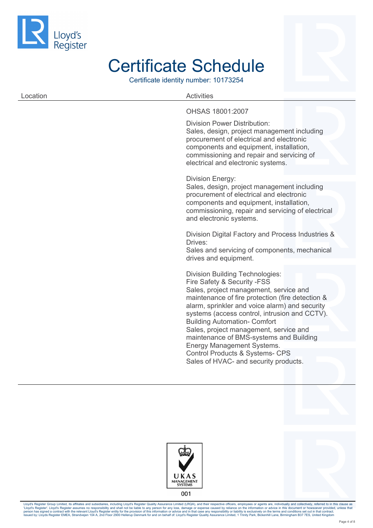

Certificate identity number: 10173254

#### Location **Activities** OHSAS 18001:2007 Division Power Distribution: Sales, design, project management including procurement of electrical and electronic

components and equipment, installation, commissioning and repair and servicing of electrical and electronic systems. Division Energy: Sales, design, project management including

procurement of electrical and electronic components and equipment, installation, commissioning, repair and servicing of electrical and electronic systems.

Division Digital Factory and Process Industries & Drives:

Sales and servicing of components, mechanical drives and equipment.

Division Building Technologies: Fire Safety & Security -FSS Sales, project management, service and maintenance of fire protection (fire detection & alarm, sprinkler and voice alarm) and security systems (access control, intrusion and CCTV). Building Automation- Comfort Sales, project management, service and maintenance of BMS-systems and Building Energy Management Systems. Control Products & Systems- CPS Sales of HVAC- and security products.



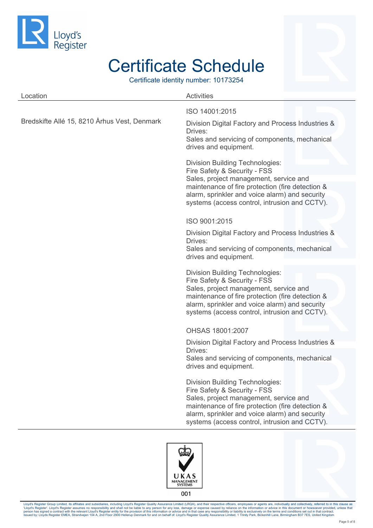

Certificate identity number: 10173254

| Location                                     | <b>Activities</b>                                                                                                                                                                                                                                                       |
|----------------------------------------------|-------------------------------------------------------------------------------------------------------------------------------------------------------------------------------------------------------------------------------------------------------------------------|
| Bredskifte Allé 15, 8210 Århus Vest, Denmark | ISO 14001:2015<br>Division Digital Factory and Process Industries &<br>Drives:<br>Sales and servicing of components, mechanical<br>drives and equipment.                                                                                                                |
|                                              | <b>Division Building Technologies:</b><br>Fire Safety & Security - FSS<br>Sales, project management, service and                                                                                                                                                        |
|                                              | maintenance of fire protection (fire detection &<br>alarm, sprinkler and voice alarm) and security<br>systems (access control, intrusion and CCTV).                                                                                                                     |
|                                              | ISO 9001:2015                                                                                                                                                                                                                                                           |
|                                              | Division Digital Factory and Process Industries &<br>Drives:                                                                                                                                                                                                            |
|                                              | Sales and servicing of components, mechanical<br>drives and equipment.                                                                                                                                                                                                  |
|                                              | <b>Division Building Technologies:</b><br>Fire Safety & Security - FSS<br>Sales, project management, service and<br>maintenance of fire protection (fire detection &<br>alarm, sprinkler and voice alarm) and security<br>systems (access control, intrusion and CCTV). |
|                                              | OHSAS 18001:2007                                                                                                                                                                                                                                                        |
|                                              | Division Digital Factory and Process Industries &<br>Drives:<br>Sales and servicing of components, mechanical<br>drives and equipment.                                                                                                                                  |
|                                              | <b>Division Building Technologies:</b><br>Fire Safety & Security - FSS<br>Sales, project management, service and<br>maintenance of fire protection (fire detection &<br>alarm, sprinkler and voice alarm) and security<br>systems (access control, intrusion and CCTV). |
|                                              |                                                                                                                                                                                                                                                                         |

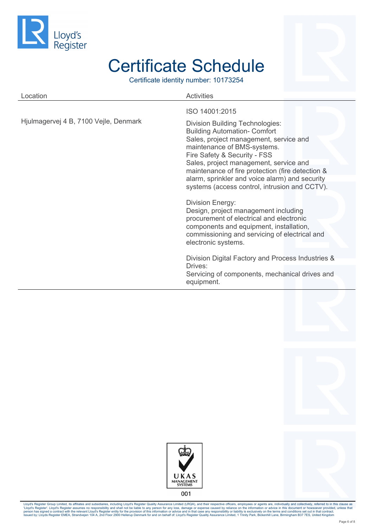

Certificate identity number: 10173254

| Location                              | <b>Activities</b>                                                                                                                                                                                                                |
|---------------------------------------|----------------------------------------------------------------------------------------------------------------------------------------------------------------------------------------------------------------------------------|
|                                       | ISO 14001:2015                                                                                                                                                                                                                   |
| Hjulmagervej 4 B, 7100 Vejle, Denmark | <b>Division Building Technologies:</b><br><b>Building Automation- Comfort</b><br>Sales, project management, service and<br>maintenance of BMS-systems.<br>Fire Safety & Security - FSS<br>Sales, project management, service and |
|                                       | maintenance of fire protection (fire detection &                                                                                                                                                                                 |
|                                       | alarm, sprinkler and voice alarm) and security<br>systems (access control, intrusion and CCTV).                                                                                                                                  |
|                                       | <b>Division Energy:</b><br>Design, project management including<br>procurement of electrical and electronic<br>components and equipment, installation,<br>commissioning and servicing of electrical and<br>electronic systems.   |
|                                       | Division Digital Factory and Process Industries &                                                                                                                                                                                |
|                                       | Drives:<br>Servicing of components, mechanical drives and<br>equipment.                                                                                                                                                          |



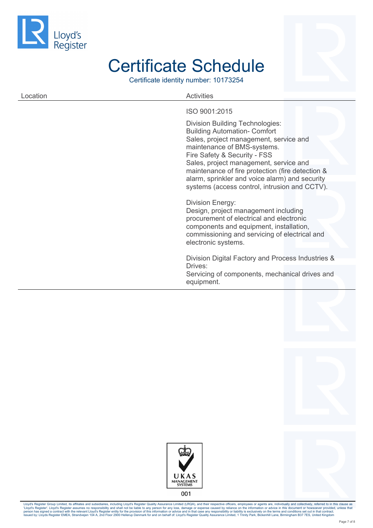

Certificate identity number: 10173254

#### Location **Activities** ISO 9001:2015 Division Building Technologies: Building Automation- Comfort

Sales, project management, service and maintenance of BMS-systems. Fire Safety & Security - FSS Sales, project management, service and maintenance of fire protection (fire detection & alarm, sprinkler and voice alarm) and security systems (access control, intrusion and CCTV).

#### Division Energy:

Design, project management including procurement of electrical and electronic components and equipment, installation, commissioning and servicing of electrical and electronic systems.

Division Digital Factory and Process Industries & Drives:

Servicing of components, mechanical drives and equipment.